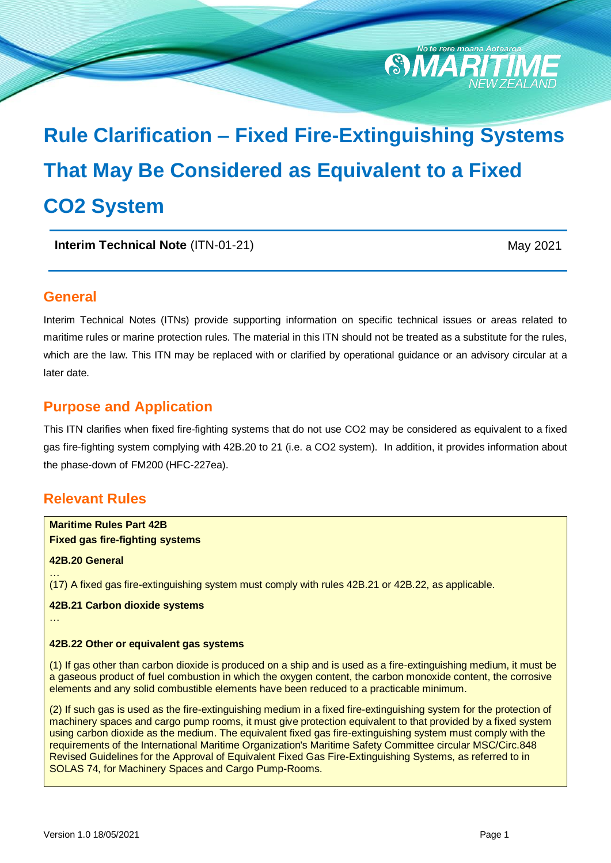

# **Rule Clarification – Fixed Fire-Extinguishing Systems That May Be Considered as Equivalent to a Fixed CO2 System**

**Interim Technical Note** (ITN-01-21) May 2021

## **General**

Interim Technical Notes (ITNs) provide supporting information on specific technical issues or areas related to maritime rules or marine protection rules. The material in this ITN should not be treated as a substitute for the rules, which are the law. This ITN may be replaced with or clarified by operational guidance or an advisory circular at a later date.

## **Purpose and Application**

This ITN clarifies when fixed fire-fighting systems that do not use CO2 may be considered as equivalent to a fixed gas fire-fighting system complying with 42B.20 to 21 (i.e. a CO2 system). In addition, it provides information about the phase-down of FM200 (HFC-227ea).

## **Relevant Rules**

**Maritime Rules Part 42B Fixed gas fire-fighting systems**

#### **42B.20 General**

… (17) A fixed gas fire-extinguishing system must comply with rules 42B.21 or 42B.22, as applicable.

## **42B.21 Carbon dioxide systems**

…

#### **42B.22 Other or equivalent gas systems**

(1) If gas other than carbon dioxide is produced on a ship and is used as a fire-extinguishing medium, it must be a gaseous product of fuel combustion in which the oxygen content, the carbon monoxide content, the corrosive elements and any solid combustible elements have been reduced to a practicable minimum.

(2) If such gas is used as the fire-extinguishing medium in a fixed fire-extinguishing system for the protection of machinery spaces and cargo pump rooms, it must give protection equivalent to that provided by a fixed system using carbon dioxide as the medium. The equivalent fixed gas fire-extinguishing system must comply with the requirements of the International Maritime Organization's Maritime Safety Committee circular MSC/Circ.848 Revised Guidelines for the Approval of Equivalent Fixed Gas Fire-Extinguishing Systems, as referred to in SOLAS 74, for Machinery Spaces and Cargo Pump-Rooms.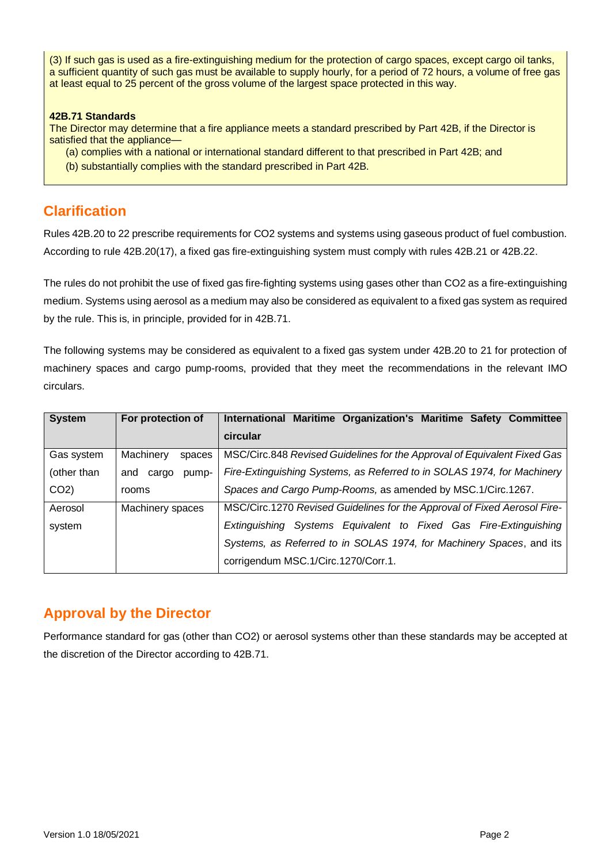(3) If such gas is used as a fire-extinguishing medium for the protection of cargo spaces, except cargo oil tanks, a sufficient quantity of such gas must be available to supply hourly, for a period of 72 hours, a volume of free gas at least equal to 25 percent of the gross volume of the largest space protected in this way.

#### **42B.71 Standards**

The Director may determine that a fire appliance meets a standard prescribed by Part 42B, if the Director is satisfied that the appliance—

- (a) complies with a national or international standard different to that prescribed in Part 42B; and
- (b) substantially complies with the standard prescribed in Part 42B.

## **Clarification**

Rules 42B.20 to 22 prescribe requirements for CO2 systems and systems using gaseous product of fuel combustion. According to rule 42B.20(17), a fixed gas fire-extinguishing system must comply with rules 42B.21 or 42B.22.

The rules do not prohibit the use of fixed gas fire-fighting systems using gases other than CO2 as a fire-extinguishing medium. Systems using aerosol as a medium may also be considered as equivalent to a fixed gas system as required by the rule. This is, in principle, provided for in 42B.71.

The following systems may be considered as equivalent to a fixed gas system under 42B.20 to 21 for protection of machinery spaces and cargo pump-rooms, provided that they meet the recommendations in the relevant IMO circulars.

| <b>System</b>   | For protection of     | International Maritime Organization's Maritime Safety Committee          |
|-----------------|-----------------------|--------------------------------------------------------------------------|
|                 |                       | circular                                                                 |
| Gas system      | Machinery<br>spaces   | MSC/Circ.848 Revised Guidelines for the Approval of Equivalent Fixed Gas |
| (other than     | and<br>pump-<br>cargo | Fire-Extinguishing Systems, as Referred to in SOLAS 1974, for Machinery  |
| CO <sub>2</sub> | rooms                 | Spaces and Cargo Pump-Rooms, as amended by MSC.1/Circ.1267.              |
| Aerosol         | Machinery spaces      | MSC/Circ.1270 Revised Guidelines for the Approval of Fixed Aerosol Fire- |
| system          |                       | Extinguishing Systems Equivalent to Fixed Gas Fire-Extinguishing         |
|                 |                       | Systems, as Referred to in SOLAS 1974, for Machinery Spaces, and its     |
|                 |                       | corrigendum MSC.1/Circ.1270/Corr.1.                                      |

## **Approval by the Director**

Performance standard for gas (other than CO2) or aerosol systems other than these standards may be accepted at the discretion of the Director according to 42B.71.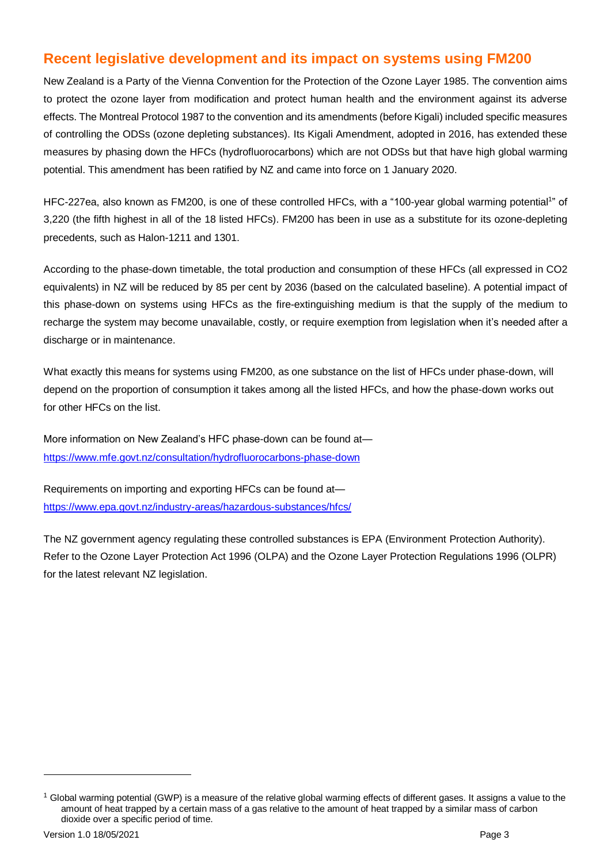## **Recent legislative development and its impact on systems using FM200**

New Zealand is a Party of the Vienna Convention for the Protection of the Ozone Layer 1985. The convention aims to protect the ozone layer from modification and protect human health and the environment against its adverse effects. The Montreal Protocol 1987 to the convention and its amendments (before Kigali) included specific measures of controlling the ODSs (ozone depleting substances). Its Kigali Amendment, adopted in 2016, has extended these measures by phasing down the HFCs (hydrofluorocarbons) which are not ODSs but that have high global warming potential. This amendment has been ratified by NZ and came into force on 1 January 2020.

HFC-227ea, also known as FM200, is one of these controlled HFCs, with a "100-year global warming potential<sup>1</sup>" of 3,220 (the fifth highest in all of the 18 listed HFCs). FM200 has been in use as a substitute for its ozone-depleting precedents, such as Halon-1211 and 1301.

According to the phase-down timetable, the total production and consumption of these HFCs (all expressed in CO2 equivalents) in NZ will be reduced by 85 per cent by 2036 (based on the calculated baseline). A potential impact of this phase-down on systems using HFCs as the fire-extinguishing medium is that the supply of the medium to recharge the system may become unavailable, costly, or require exemption from legislation when it's needed after a discharge or in maintenance.

What exactly this means for systems using FM200, as one substance on the list of HFCs under phase-down, will depend on the proportion of consumption it takes among all the listed HFCs, and how the phase-down works out for other HFCs on the list.

More information on New Zealand's HFC phase-down can be found at <https://www.mfe.govt.nz/consultation/hydrofluorocarbons-phase-down>

Requirements on importing and exporting HFCs can be found at <https://www.epa.govt.nz/industry-areas/hazardous-substances/hfcs/>

The NZ government agency regulating these controlled substances is EPA (Environment Protection Authority). Refer to the Ozone Layer Protection Act 1996 (OLPA) and the Ozone Layer Protection Regulations 1996 (OLPR) for the latest relevant NZ legislation.

 $\overline{a}$ 

 $1$  Global warming potential (GWP) is a measure of the relative global warming effects of different gases. It assigns a value to the amount of heat trapped by a certain mass of a gas relative to the amount of heat trapped by a similar mass of carbon dioxide over a specific period of time.